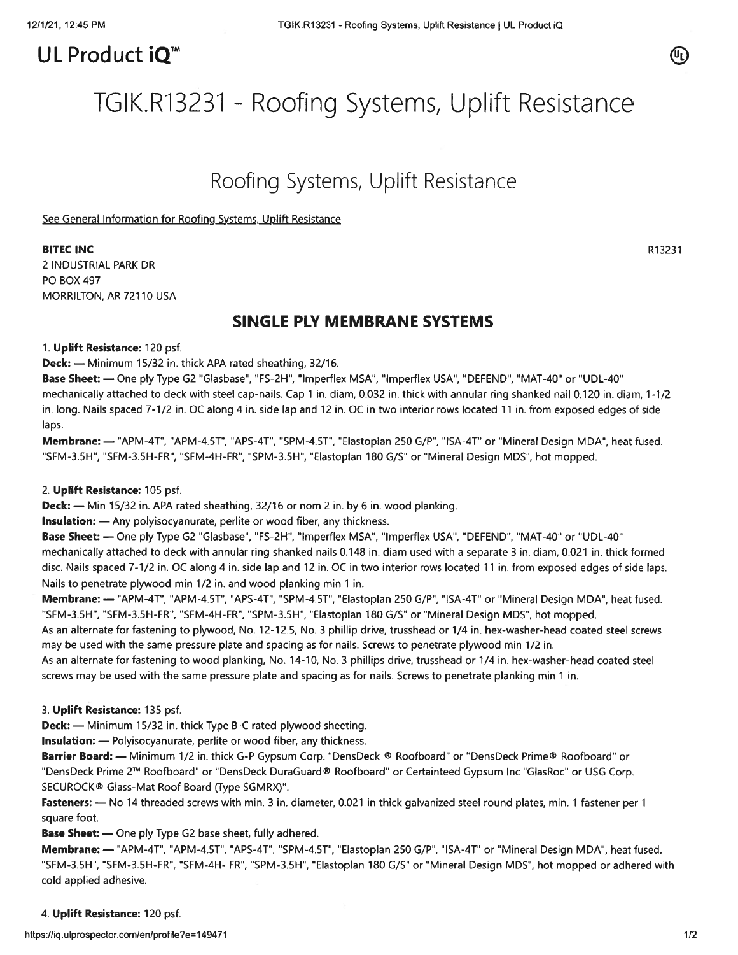# UL Product iQ<sup>™</sup>



# TGIK.R13231 - Roofing Systems, Uplift Resistance

# Roofing Systems, Uplift Resistance

See General Information for Roofing Systems, Uplift Resistance

#### BITEC INC AND RESIDENCE IN A RESIDENCE IN A RESIDENCE IN A RESIDENCE IN A RESIDENCE INCLUDENT RESIDENCE IN A RESIDENCE IN A RESIDENCE INCLUDENT RESIDENCE IN A RESIDENCE IN A RESIDENCE INCLUDENT RESIDENCE IN A RESIDENCE IN

2 INDUSTRIAL PARK DR P0 BOX 497 MORRILTON, AR 72110 USA

# SINGLE PLY MEMBRANE SYSTEMS

1. Uplift Resistance: 120 psf.

Deck: — Minimum 15/32 in. thick APA rated sheathing, 32/16.

Base Sheet: — One ply Type G2 "Glasbase", "FS-2H", "Imperflex MSA", "Imperflex USA", "DEFEND", "MAT-40" or "UDL-40" mechanically attached to deck with steel cap-nails. Cap 1 in. diam, 0.032 in. thick with annular ring shanked nail 0.120 in. diam, 1-1/2 in. long. Nails spaced 7-1/2 in. OC along 4 in. side lap and 12 in. OC in two interior rows located 11 in. from exposed edges of side laps.

Membrane: — "APM-4T", "APM-4.5T", "APS-4T", "SPM-4.5T", "Elastoplan 250 G/P", "ISA-4T" or "Mineral Design MDA", heat fused. "SFM-3.5H", "SFM-3.5H-FR", "SFM-4H-FR", "SPM-3.5H", "Elastoplan 180 G/S" or "Mineral Design MDS", hot mopped.

## 2. Uplift Resistance: 105 psf.

**Deck:** — Min 15/32 in. APA rated sheathing, 32/16 or nom 2 in. by 6 in. wood planking.

Insulation: — Any polyisocyanurate, perlite or wood fiber, any thickness.

Base Sheet: — One ply Type G2 "Glasbase", "FS-2H", "Imperfiex MSA", "lmperflex USA', "DEFEND", "MAT-40" or "UDL-40" mechanically attached to deck with annular ring shanked nails 0.148 in. diam used with <sup>a</sup> separate 3 in. diam, 0.021 in. thick formed disc. Nails spaced 7-1/2 in. OC along 4 in. side lap and 12 in. OC in two interior rows located 11 in. from exposed edges of side laps. Nails to penetrate plywood min 1/2 in. and wood planking min 1 in.

Membrane: — "APM-4T", "APM-4.5T", "APS-4T", "SPM-4.5T", "Elastoplan 250 G/P", "ISA-4T" or "Mineral Design MDA", heat fused. "SFM-3.5H", "SFM-3.5H-FR", "SFM-4H-FR", "SPM-3.5H", "Elastoplan 180 G/S" or "Mineral Design MDS", hot mopped.

As an alternate for fastening to plywood, No. 12-12.5, No. 3 phillip drive, trusshead or 1/4 in. hex-washer-head coated steel screws may be used with the same pressure plate and spacing as for nails. Screws to penetrate plywood min 1/2 in.

As an alternate for fastening to wood planking, No. 14-10, No. 3 phillips drive, trusshead or 1/4 in. hex-washer-head coated steel screws may be used with the same pressure plate and spacing as for nails. Screws to penetrate planking min 1 in.

3. Uplift Resistance: 135 psf.

Deck: — Minimum 15/32 in. thick Type B-C rated plywood sheeting.

Insulation: — Polyisocyanurate, perlite or wood fiber, any thickness.

Barrier Board: — Minimum 1/2 in. thick G-P Gypsum Corp. "DensDeck ® Roofboard" or "DensDeck Prime® Roofboard" or "DensDeck Prime 2TM Roofboard" or "DensDeck DuraGuard® Roofboard" or Certainteed Gypsum Inc "GlasRoc" or USG Corp. SECUROCK® Glass-Mat Roof Board (Type SGMRX)".

Fasteners: - No 14 threaded screws with min. 3 in. diameter, 0.021 in thick galvanized steel round plates, min. 1 fastener per 1 square foot.

Base Sheet: — One ply Type G2 base sheet, fully adhered.

Membrane: — "APM-4T", "APM-4.5T", "APS-4T", "SPM-4.5T", "Elastoplan 250 G/P", "ISA-4T" or "Mineral Design MDA", heat fused. "SFM-3.5H", "SFM-3.5H-FR", "SFM-4H- FR", "SPM-3.5H", "Elastoplan 180 G/S" or "Mineral Design MDS", hot mopped or adhered with cold applied adhesive.

## 4. Uplift Resistance: 120 psf.